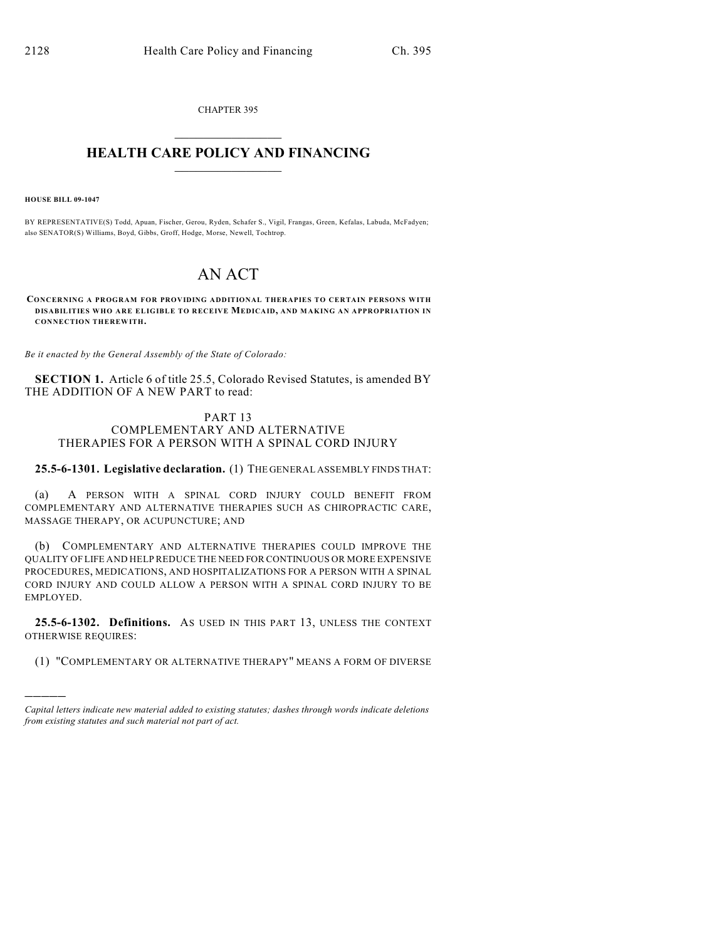CHAPTER 395  $\overline{\phantom{a}}$  . The set of the set of the set of the set of the set of the set of the set of the set of the set of the set of the set of the set of the set of the set of the set of the set of the set of the set of the set o

## **HEALTH CARE POLICY AND FINANCING**  $\_$   $\_$   $\_$   $\_$   $\_$   $\_$   $\_$   $\_$

**HOUSE BILL 09-1047**

)))))

BY REPRESENTATIVE(S) Todd, Apuan, Fischer, Gerou, Ryden, Schafer S., Vigil, Frangas, Green, Kefalas, Labuda, McFadyen; also SENATOR(S) Williams, Boyd, Gibbs, Groff, Hodge, Morse, Newell, Tochtrop.

## AN ACT

**CONCERNING A PROGRAM FOR PROVIDING ADDITIONAL THERAPIES TO CERTAIN PERSONS WITH DISABILITIES WHO ARE ELIGIBLE TO RECEIVE MEDICAID, AND MAKING AN APPROPRIATION IN CONNECTION THEREWITH.**

*Be it enacted by the General Assembly of the State of Colorado:*

**SECTION 1.** Article 6 of title 25.5, Colorado Revised Statutes, is amended BY THE ADDITION OF A NEW PART to read:

## PART 13 COMPLEMENTARY AND ALTERNATIVE THERAPIES FOR A PERSON WITH A SPINAL CORD INJURY

**25.5-6-1301. Legislative declaration.** (1) THE GENERAL ASSEMBLY FINDS THAT:

(a) A PERSON WITH A SPINAL CORD INJURY COULD BENEFIT FROM COMPLEMENTARY AND ALTERNATIVE THERAPIES SUCH AS CHIROPRACTIC CARE, MASSAGE THERAPY, OR ACUPUNCTURE; AND

(b) COMPLEMENTARY AND ALTERNATIVE THERAPIES COULD IMPROVE THE QUALITY OF LIFE AND HELP REDUCE THE NEED FOR CONTINUOUS OR MORE EXPENSIVE PROCEDURES, MEDICATIONS, AND HOSPITALIZATIONS FOR A PERSON WITH A SPINAL CORD INJURY AND COULD ALLOW A PERSON WITH A SPINAL CORD INJURY TO BE EMPLOYED.

**25.5-6-1302. Definitions.** AS USED IN THIS PART 13, UNLESS THE CONTEXT OTHERWISE REQUIRES:

(1) "COMPLEMENTARY OR ALTERNATIVE THERAPY" MEANS A FORM OF DIVERSE

*Capital letters indicate new material added to existing statutes; dashes through words indicate deletions from existing statutes and such material not part of act.*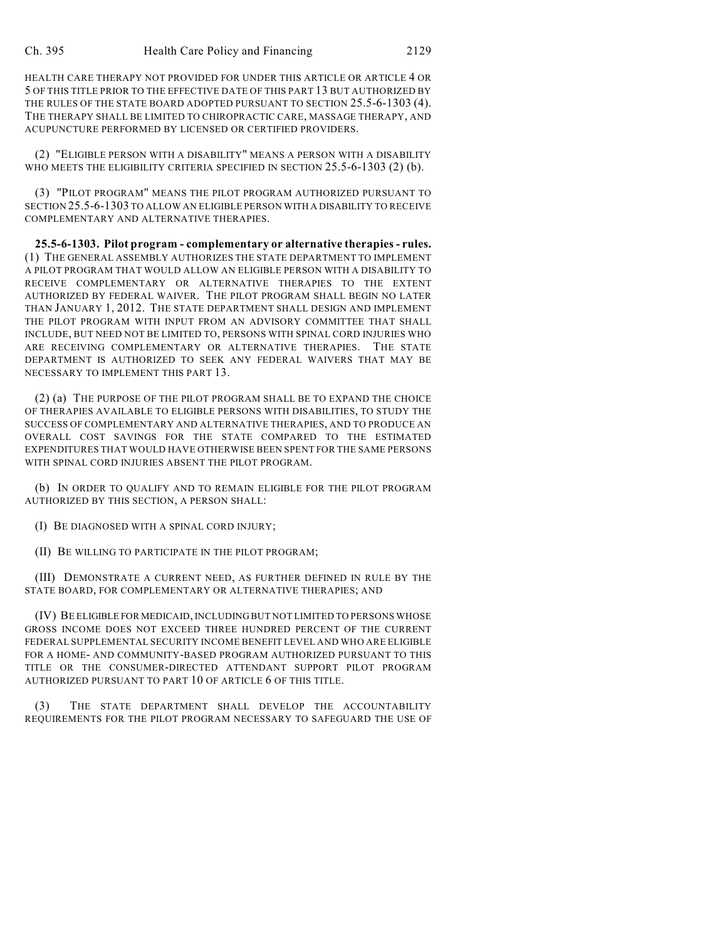HEALTH CARE THERAPY NOT PROVIDED FOR UNDER THIS ARTICLE OR ARTICLE 4 OR 5 OF THIS TITLE PRIOR TO THE EFFECTIVE DATE OF THIS PART 13 BUT AUTHORIZED BY THE RULES OF THE STATE BOARD ADOPTED PURSUANT TO SECTION 25.5-6-1303 (4). THE THERAPY SHALL BE LIMITED TO CHIROPRACTIC CARE, MASSAGE THERAPY, AND ACUPUNCTURE PERFORMED BY LICENSED OR CERTIFIED PROVIDERS.

(2) "ELIGIBLE PERSON WITH A DISABILITY" MEANS A PERSON WITH A DISABILITY WHO MEETS THE ELIGIBILITY CRITERIA SPECIFIED IN SECTION 25.5-6-1303 (2) (b).

(3) "PILOT PROGRAM" MEANS THE PILOT PROGRAM AUTHORIZED PURSUANT TO SECTION 25.5-6-1303 TO ALLOW AN ELIGIBLE PERSON WITH A DISABILITY TO RECEIVE COMPLEMENTARY AND ALTERNATIVE THERAPIES.

**25.5-6-1303. Pilot program - complementary or alternative therapies - rules.** (1) THE GENERAL ASSEMBLY AUTHORIZES THE STATE DEPARTMENT TO IMPLEMENT A PILOT PROGRAM THAT WOULD ALLOW AN ELIGIBLE PERSON WITH A DISABILITY TO RECEIVE COMPLEMENTARY OR ALTERNATIVE THERAPIES TO THE EXTENT AUTHORIZED BY FEDERAL WAIVER. THE PILOT PROGRAM SHALL BEGIN NO LATER THAN JANUARY 1, 2012. THE STATE DEPARTMENT SHALL DESIGN AND IMPLEMENT THE PILOT PROGRAM WITH INPUT FROM AN ADVISORY COMMITTEE THAT SHALL INCLUDE, BUT NEED NOT BE LIMITED TO, PERSONS WITH SPINAL CORD INJURIES WHO ARE RECEIVING COMPLEMENTARY OR ALTERNATIVE THERAPIES. THE STATE DEPARTMENT IS AUTHORIZED TO SEEK ANY FEDERAL WAIVERS THAT MAY BE NECESSARY TO IMPLEMENT THIS PART 13.

(2) (a) THE PURPOSE OF THE PILOT PROGRAM SHALL BE TO EXPAND THE CHOICE OF THERAPIES AVAILABLE TO ELIGIBLE PERSONS WITH DISABILITIES, TO STUDY THE SUCCESS OF COMPLEMENTARY AND ALTERNATIVE THERAPIES, AND TO PRODUCE AN OVERALL COST SAVINGS FOR THE STATE COMPARED TO THE ESTIMATED EXPENDITURES THAT WOULD HAVE OTHERWISE BEEN SPENT FOR THE SAME PERSONS WITH SPINAL CORD INJURIES ABSENT THE PILOT PROGRAM.

(b) IN ORDER TO QUALIFY AND TO REMAIN ELIGIBLE FOR THE PILOT PROGRAM AUTHORIZED BY THIS SECTION, A PERSON SHALL:

(I) BE DIAGNOSED WITH A SPINAL CORD INJURY;

(II) BE WILLING TO PARTICIPATE IN THE PILOT PROGRAM;

(III) DEMONSTRATE A CURRENT NEED, AS FURTHER DEFINED IN RULE BY THE STATE BOARD, FOR COMPLEMENTARY OR ALTERNATIVE THERAPIES; AND

(IV) BE ELIGIBLE FOR MEDICAID, INCLUDING BUT NOT LIMITED TO PERSONS WHOSE GROSS INCOME DOES NOT EXCEED THREE HUNDRED PERCENT OF THE CURRENT FEDERAL SUPPLEMENTAL SECURITY INCOME BENEFIT LEVEL AND WHO ARE ELIGIBLE FOR A HOME- AND COMMUNITY-BASED PROGRAM AUTHORIZED PURSUANT TO THIS TITLE OR THE CONSUMER-DIRECTED ATTENDANT SUPPORT PILOT PROGRAM AUTHORIZED PURSUANT TO PART 10 OF ARTICLE 6 OF THIS TITLE.

(3) THE STATE DEPARTMENT SHALL DEVELOP THE ACCOUNTABILITY REQUIREMENTS FOR THE PILOT PROGRAM NECESSARY TO SAFEGUARD THE USE OF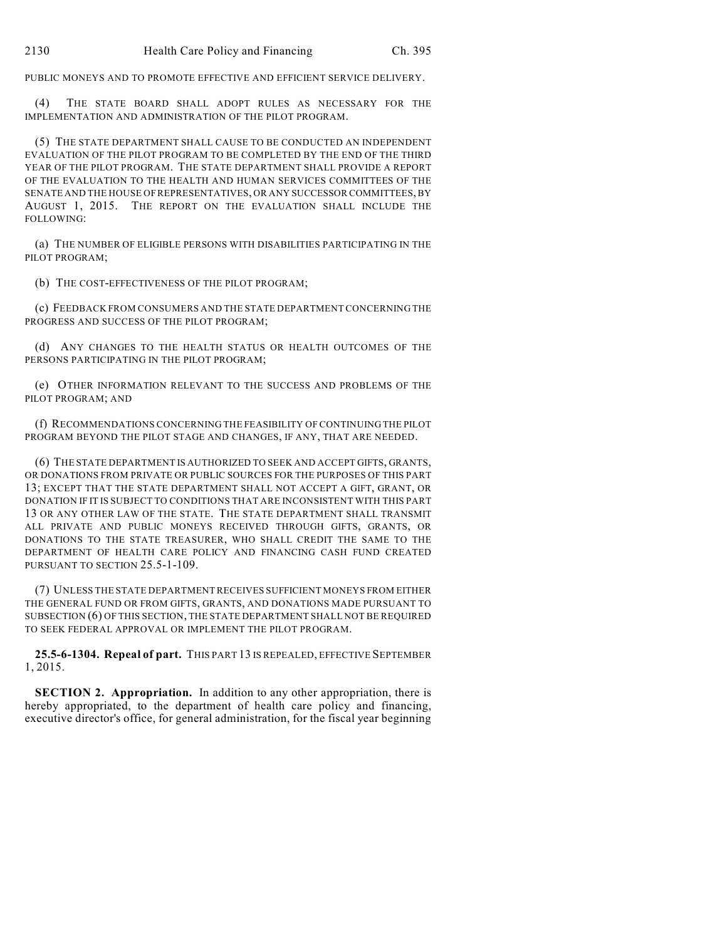PUBLIC MONEYS AND TO PROMOTE EFFECTIVE AND EFFICIENT SERVICE DELIVERY.

(4) THE STATE BOARD SHALL ADOPT RULES AS NECESSARY FOR THE IMPLEMENTATION AND ADMINISTRATION OF THE PILOT PROGRAM.

(5) THE STATE DEPARTMENT SHALL CAUSE TO BE CONDUCTED AN INDEPENDENT EVALUATION OF THE PILOT PROGRAM TO BE COMPLETED BY THE END OF THE THIRD YEAR OF THE PILOT PROGRAM. THE STATE DEPARTMENT SHALL PROVIDE A REPORT OF THE EVALUATION TO THE HEALTH AND HUMAN SERVICES COMMITTEES OF THE SENATE AND THE HOUSE OF REPRESENTATIVES, OR ANY SUCCESSOR COMMITTEES, BY AUGUST 1, 2015. THE REPORT ON THE EVALUATION SHALL INCLUDE THE FOLLOWING:

(a) THE NUMBER OF ELIGIBLE PERSONS WITH DISABILITIES PARTICIPATING IN THE PILOT PROGRAM;

(b) THE COST-EFFECTIVENESS OF THE PILOT PROGRAM;

(c) FEEDBACK FROM CONSUMERS AND THE STATE DEPARTMENT CONCERNING THE PROGRESS AND SUCCESS OF THE PILOT PROGRAM;

(d) ANY CHANGES TO THE HEALTH STATUS OR HEALTH OUTCOMES OF THE PERSONS PARTICIPATING IN THE PILOT PROGRAM;

(e) OTHER INFORMATION RELEVANT TO THE SUCCESS AND PROBLEMS OF THE PILOT PROGRAM; AND

(f) RECOMMENDATIONS CONCERNING THE FEASIBILITY OFCONTINUING THE PILOT PROGRAM BEYOND THE PILOT STAGE AND CHANGES, IF ANY, THAT ARE NEEDED.

(6) THE STATE DEPARTMENT IS AUTHORIZED TO SEEK AND ACCEPT GIFTS, GRANTS, OR DONATIONS FROM PRIVATE OR PUBLIC SOURCES FOR THE PURPOSES OF THIS PART 13; EXCEPT THAT THE STATE DEPARTMENT SHALL NOT ACCEPT A GIFT, GRANT, OR DONATION IF IT IS SUBJECT TO CONDITIONS THAT ARE INCONSISTENT WITH THIS PART 13 OR ANY OTHER LAW OF THE STATE. THE STATE DEPARTMENT SHALL TRANSMIT ALL PRIVATE AND PUBLIC MONEYS RECEIVED THROUGH GIFTS, GRANTS, OR DONATIONS TO THE STATE TREASURER, WHO SHALL CREDIT THE SAME TO THE DEPARTMENT OF HEALTH CARE POLICY AND FINANCING CASH FUND CREATED PURSUANT TO SECTION 25.5-1-109.

(7) UNLESS THE STATE DEPARTMENT RECEIVES SUFFICIENT MONEYS FROM EITHER THE GENERAL FUND OR FROM GIFTS, GRANTS, AND DONATIONS MADE PURSUANT TO SUBSECTION (6) OF THIS SECTION, THE STATE DEPARTMENT SHALL NOT BE REQUIRED TO SEEK FEDERAL APPROVAL OR IMPLEMENT THE PILOT PROGRAM.

**25.5-6-1304. Repeal of part.** THIS PART 13 IS REPEALED, EFFECTIVE SEPTEMBER 1, 2015.

**SECTION 2. Appropriation.** In addition to any other appropriation, there is hereby appropriated, to the department of health care policy and financing, executive director's office, for general administration, for the fiscal year beginning